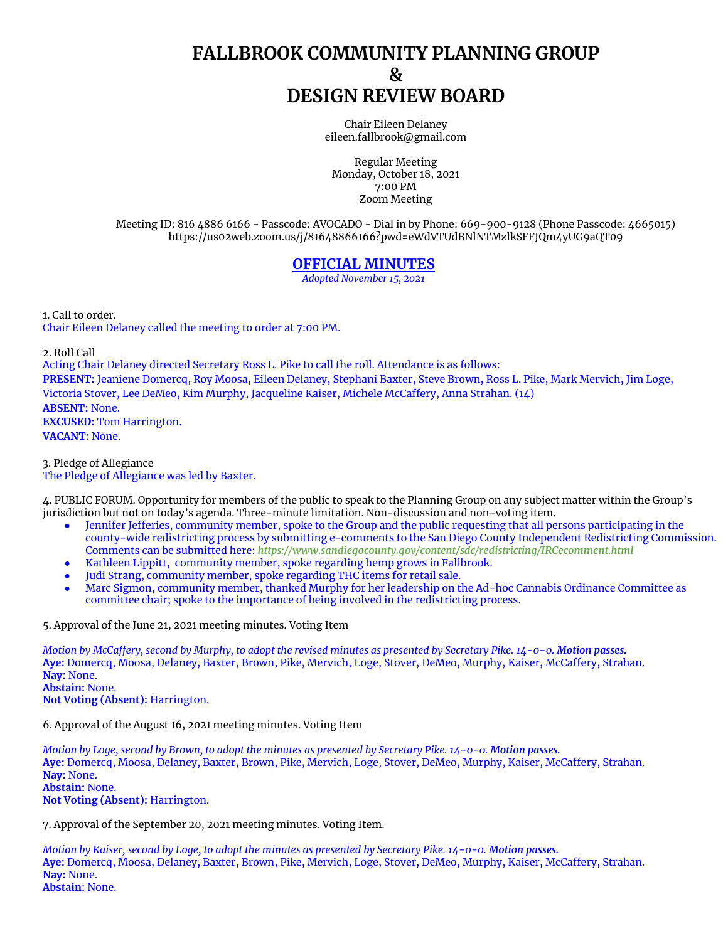## **FALLBROOK COMMUNITY PLANNING GROUP & DESIGN REVIEW BOARD**

Chair Eileen Delaney [eileen.fallbrook@gmail.com](mailto:eileen.fallbrook@gmail.com)

Regular Meeting Monday, October 18, 2021 7:00 PM Zoom Meeting

Meeting ID: 816 4886 6166 - Passcode: AVOCADO - Dial in by Phone: 669-900-9128 (Phone Passcode: 4665015) <https://us02web.zoom.us/j/81648866166?pwd=eWdVTUdBNlNTMzlkSFFJQm4yUG9aQT09>

## **OFFICIAL MINUTES**

*Adopted November 15, 2021*

1. Call to order. Chair Eileen Delaney called the meeting to order at 7:00 PM.

2. Roll Call

Acting Chair Delaney directed Secretary Ross L. Pike to call the roll. Attendance is as follows: **PRESENT:** Jeaniene Domercq, Roy Moosa, Eileen Delaney, Stephani Baxter, Steve Brown, Ross L. Pike, Mark Mervich, Jim Loge, Victoria Stover, Lee DeMeo, Kim Murphy, Jacqueline Kaiser, Michele McCaffery, Anna Strahan. (14) **ABSENT:** None. **EXCUSED:** Tom Harrington. **VACANT:** None.

3. Pledge of Allegiance The Pledge of Allegiance was led by Baxter.

4. PUBLIC FORUM. Opportunity for members of the public to speak to the Planning Group on any subject matter within the Group's jurisdiction but not on today's agenda. Three-minute limitation. Non-discussion and non-voting item.

- Jennifer Jefferies, community member, spoke to the Group and the public requesting that all persons participating in the county-wide redistricting process by submitting e-comments to the San Diego County Independent Redistricting Commission. Comments can be submitted here: *<https://www.sandiegocounty.gov/content/sdc/redistricting/IRCecomment.html>*
- Kathleen Lippitt, community member, spoke regarding hemp grows in Fallbrook.
- Judi Strang, community member, spoke regarding THC items for retail sale.
- Marc Sigmon, community member, thanked Murphy for her leadership on the Ad-hoc Cannabis Ordinance Committee as committee chair; spoke to the importance of being involved in the redistricting process.

5. Approval of the June 21, 2021 meeting minutes. Voting Item

Motion by McCaffery, second by Murphy, to adopt the revised minutes as presented by Secretary Pike. 14-0-0. Motion passes. **Aye:** Domercq, Moosa, Delaney, Baxter, Brown, Pike, Mervich, Loge, Stover, DeMeo, Murphy, Kaiser, McCaffery, Strahan. **Nay:** None. **Abstain:** None.

**Not Voting (Absent):** Harrington.

6. Approval of the August 16, 2021 meeting minutes. Voting Item

Motion by Loge, second by Brown, to adopt the minutes as presented by Secretary Pike. 14-0-0. Motion passes. **Aye:** Domercq, Moosa, Delaney, Baxter, Brown, Pike, Mervich, Loge, Stover, DeMeo, Murphy, Kaiser, McCaffery, Strahan. **Nay:** None. **Abstain:** None. **Not Voting (Absent):** Harrington.

7. Approval of the September 20, 2021 meeting minutes. Voting Item.

Motion by Kaiser, second by Loge, to adopt the minutes as presented by Secretary Pike. 14-0-0. Motion passes. **Aye:** Domercq, Moosa, Delaney, Baxter, Brown, Pike, Mervich, Loge, Stover, DeMeo, Murphy, Kaiser, McCaffery, Strahan. **Nay:** None. **Abstain:** None.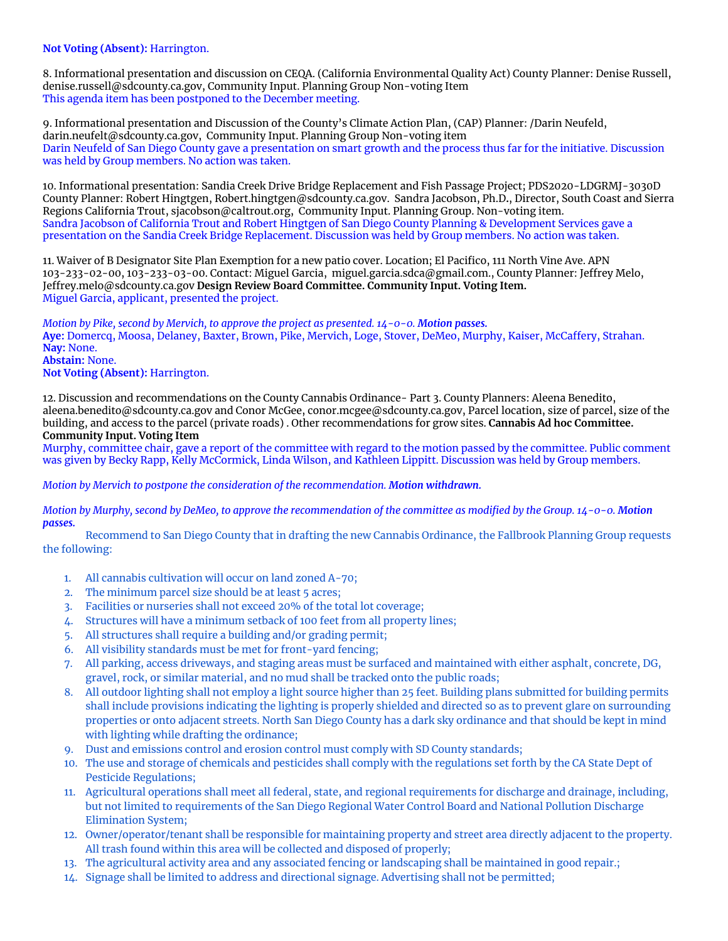## **Not Voting (Absent):** Harrington.

8. Informational presentation and discussion on CEQA. (California Environmental Quality Act) County Planner: Denise Russell, [denise.russell@sdcounty.ca.gov](mailto:denise.russell@sdcounty.ca.gov), Community Input. Planning Group Non-voting Item This agenda item has been postponed to the December meeting.

9. Informational presentation and Discussion of the County's Climate Action Plan, (CAP) Planner: /Darin Neufeld, [darin.neufelt@sdcounty.ca.gov,](mailto:darin.neufelt@sdcounty.ca.gov) Community Input. Planning Group Non-voting item Darin Neufeld of San Diego County gave a presentation on smart growth and the process thus far for the initiative. Discussion was held by Group members. No action was taken.

10. Informational presentation: Sandia Creek Drive Bridge Replacement and Fish Passage Project; PDS2020-LDGRMJ-3030D County Planner: Robert Hingtgen, [Robert.hingtgen@sdcounty.ca.gov.](mailto:Robert.hingtgen@sdcounty.ca.gov) Sandra Jacobson, Ph.D**.**, Director, South Coast and Sierra Regions California Trout, [sjacobson@caltrout.org](mailto:sjacobson@caltrout.org), Community Input. Planning Group. Non-voting item. Sandra Jacobson of California Trout and Robert Hingtgen of San Diego County Planning & Development Services gave a presentation on the Sandia Creek Bridge Replacement. Discussion was held by Group members. No action was taken.

11. Waiver of B Designator Site Plan Exemption for a new patio cover. Location; El Pacifico, 111 North Vine Ave. APN 103-233-02-00, 103-233-03-00. Contact: Miguel Garcia, [miguel.garcia.sdca@gmail.com.](mailto:miguel.garcia.sdca@gmail.com), County Planner: Jeffrey Melo, [Jeffrey.melo@sdcounty.ca.gov](mailto:Jeffrey.melo@sdcounty.ca.gov) **Design Review Board Committee. Community Input. Voting Item.** Miguel Garcia, applicant, presented the project.

*Motion by Pike, second by Mervich, to approve the project as presented. 14-0-0. Motion passes.* **Aye:** Domercq, Moosa, Delaney, Baxter, Brown, Pike, Mervich, Loge, Stover, DeMeo, Murphy, Kaiser, McCaffery, Strahan. **Nay:** None. **Abstain:** None. **Not Voting (Absent):** Harrington.

12. Discussion and recommendations on the County Cannabis Ordinance- Part 3. County Planners: Aleena Benedito, [aleena.benedito@sdcounty.ca.gov](mailto:aleena.benedito@sdcounty.ca.gov) and Conor McGee, [conor.mcgee@sdcounty.ca.gov,](mailto:conor.mcgee@sdcounty.ca.gov) Parcel location, size of parcel, size of the building, and access to the parcel (private roads) . Other recommendations for grow sites. **Cannabis Ad hoc Committee. Community Input. Voting Item**

Murphy, committee chair, gave a report of the committee with regard to the motion passed by the committee. Public comment was given by Becky Rapp, Kelly McCormick, Linda Wilson, and Kathleen Lippitt. Discussion was held by Group members.

*Motion by Mervich to postpone the consideration of the recommendation. Motion withdrawn.*

Motion by Murphy, second by DeMeo, to approve the recommendation of the committee as modified by the Group. 14-0-0. Motion *passes.*

Recommend to San Diego County that in drafting the new Cannabis Ordinance, the Fallbrook Planning Group requests the following:

- 1. All cannabis cultivation will occur on land zoned A-70;
- 2. The minimum parcel size should be at least 5 acres;
- 3. Facilities or nurseries shall not exceed 20% of the total lot coverage;
- 4. Structures will have a minimum setback of 100 feet from all property lines;
- 5. All structures shall require a building and/or grading permit;
- 6. All visibility standards must be met for front-yard fencing;
- 7. All parking, access driveways, and staging areas must be surfaced and maintained with either asphalt, concrete, DG, gravel, rock, or similar material, and no mud shall be tracked onto the public roads;
- 8. All outdoor lighting shall not employ a light source higher than 25 feet. Building plans submitted for building permits shall include provisions indicating the lighting is properly shielded and directed so as to prevent glare on surrounding properties or onto adjacent streets. North San Diego County has a dark sky ordinance and that should be kept in mind with lighting while drafting the ordinance;
- 9. Dust and emissions control and erosion control must comply with SD County standards;
- 10. The use and storage of chemicals and pesticides shall comply with the regulations set forth by the CA State Dept of Pesticide Regulations;
- 11. Agricultural operations shall meet all federal, state, and regional requirements for discharge and drainage, including, but not limited to requirements of the San Diego Regional Water Control Board and National Pollution Discharge Elimination System;
- 12. Owner/operator/tenant shall be responsible for maintaining property and street area directly adjacent to the property. All trash found within this area will be collected and disposed of properly;
- 13. The agricultural activity area and any associated fencing or landscaping shall be maintained in good repair.;
- 14. Signage shall be limited to address and directional signage. Advertising shall not be permitted;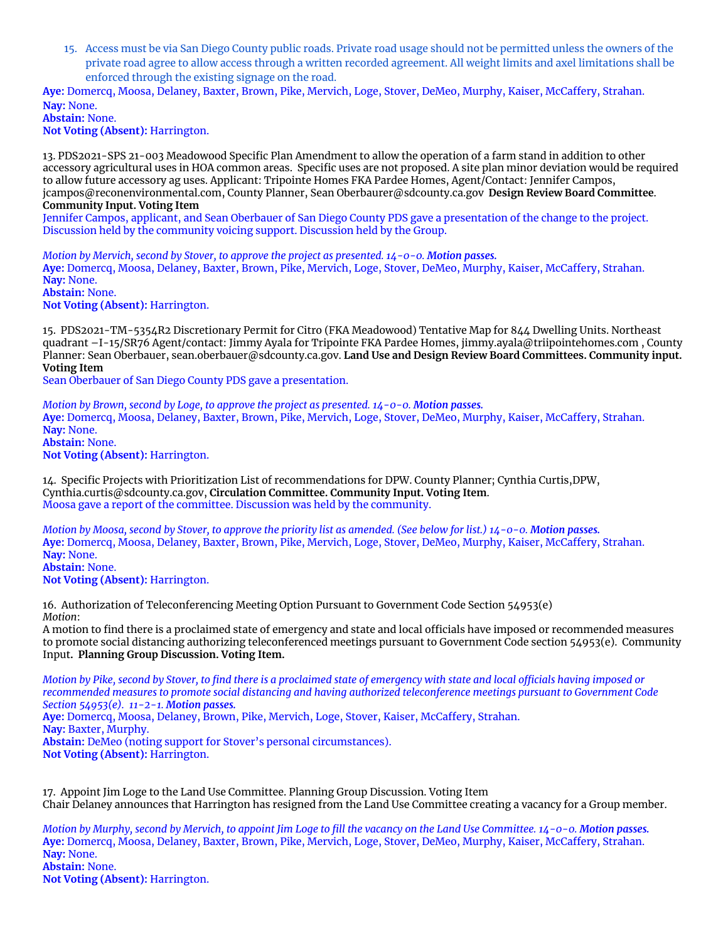15. Access must be via San Diego County public roads. Private road usage should not be permitted unless the owners of the private road agree to allow access through a written recorded agreement. All weight limits and axel limitations shall be enforced through the existing signage on the road.

**Aye:** Domercq, Moosa, Delaney, Baxter, Brown, Pike, Mervich, Loge, Stover, DeMeo, Murphy, Kaiser, McCaffery, Strahan. **Nay:** None.

**Abstain:** None. **Not Voting (Absent):** Harrington.

13. PDS2021-SPS 21-003 Meadowood Specific Plan Amendment to allow the operation of a farm stand in addition to other accessory agricultural uses in HOA common areas. Specific uses are not proposed. A site plan minor deviation would be required to allow future accessory ag uses. Applicant: Tripointe Homes FKA Pardee Homes, Agent/Contact: Jennifer Campos, [jcampos@reconenvironmental.com,](mailto:jcampos@reconenvironmental.com) County Planner, Sean [Oberbaurer@sdcounty.ca.gov](mailto:Oberbaurer@sdcounty.ca.gov) **Design Review Board Committee**. **Community Input. Voting Item**

Jennifer Campos, applicant, and Sean Oberbauer of San Diego County PDS gave a presentation of the change to the project. Discussion held by the community voicing support. Discussion held by the Group.

*Motion by Mervich, second by Stover, to approve the project as presented. 14-0-0. Motion passes.* **Aye:** Domercq, Moosa, Delaney, Baxter, Brown, Pike, Mervich, Loge, Stover, DeMeo, Murphy, Kaiser, McCaffery, Strahan. **Nay:** None. **Abstain:** None.

**Not Voting (Absent):** Harrington.

15. PDS2021-TM-5354R2 Discretionary Permit for Citro (FKA Meadowood) Tentative Map for 844 Dwelling Units. Northeast quadrant –I-15/SR76 Agent/contact: Jimmy Ayala for Tripointe FKA Pardee Homes, [jimmy.ayala@triipointehomes.com](mailto:jimmy.ayala@triipointehomes.com) , County Planner: Sean Oberbauer, [sean.oberbauer@sdcounty.ca.gov.](mailto:sean.oberbauer@sdcounty.ca.gov) **Land Use and Design Review Board Committees. Community input. Voting Item**

Sean Oberbauer of San Diego County PDS gave a presentation.

*Motion by Brown, second by Loge, to approve the project as presented. 14-0-0. Motion passes.* **Aye:** Domercq, Moosa, Delaney, Baxter, Brown, Pike, Mervich, Loge, Stover, DeMeo, Murphy, Kaiser, McCaffery, Strahan. **Nay:** None. **Abstain:** None. **Not Voting (Absent):** Harrington.

14. Specific Projects with Prioritization List of recommendations for DPW. County Planner; Cynthia Curtis,DPW, [Cynthia.curtis@sdcounty.ca.gov,](mailto:Cynthia.curtis@sdcounty.ca.gov) **Circulation Committee. Community Input. Voting Item**. Moosa gave a report of the committee. Discussion was held by the community.

Motion by Moosa, second by Stover, to approve the priority list as amended. (See below for list.) 14-0-0. Motion passes. **Aye:** Domercq, Moosa, Delaney, Baxter, Brown, Pike, Mervich, Loge, Stover, DeMeo, Murphy, Kaiser, McCaffery, Strahan. **Nay:** None. **Abstain:** None.

**Not Voting (Absent):** Harrington.

16. Authorization of Teleconferencing Meeting Option Pursuant to Government Code Section 54953(e) *Motion*:

A motion to find there is a proclaimed state of emergency and state and local officials have imposed or recommended measures to promote social distancing authorizing teleconferenced meetings pursuant to Government Code section 54953(e). Community Input**. Planning Group Discussion. Voting Item.**

Motion by Pike, second by Stover, to find there is a proclaimed state of emergency with state and local officials having imposed or recommended measures to promote social distancing and having authorized teleconference meetings pursuant to Government Code *Section 54953(e). 11-2-1. Motion passes.* **Aye:** Domercq, Moosa, Delaney, Brown, Pike, Mervich, Loge, Stover, Kaiser, McCaffery, Strahan. **Nay:** Baxter, Murphy. **Abstain:** DeMeo (noting support for Stover's personal circumstances). **Not Voting (Absent):** Harrington.

17. Appoint Jim Loge to the Land Use Committee. Planning Group Discussion. Voting Item Chair Delaney announces that Harrington has resigned from the Land Use Committee creating a vacancy for a Group member.

Motion by Murphy, second by Mervich, to appoint Jim Loge to fill the vacancy on the Land Use Committee. 14-0-0. Motion passes. **Aye:** Domercq, Moosa, Delaney, Baxter, Brown, Pike, Mervich, Loge, Stover, DeMeo, Murphy, Kaiser, McCaffery, Strahan. **Nay:** None. **Abstain:** None. **Not Voting (Absent):** Harrington.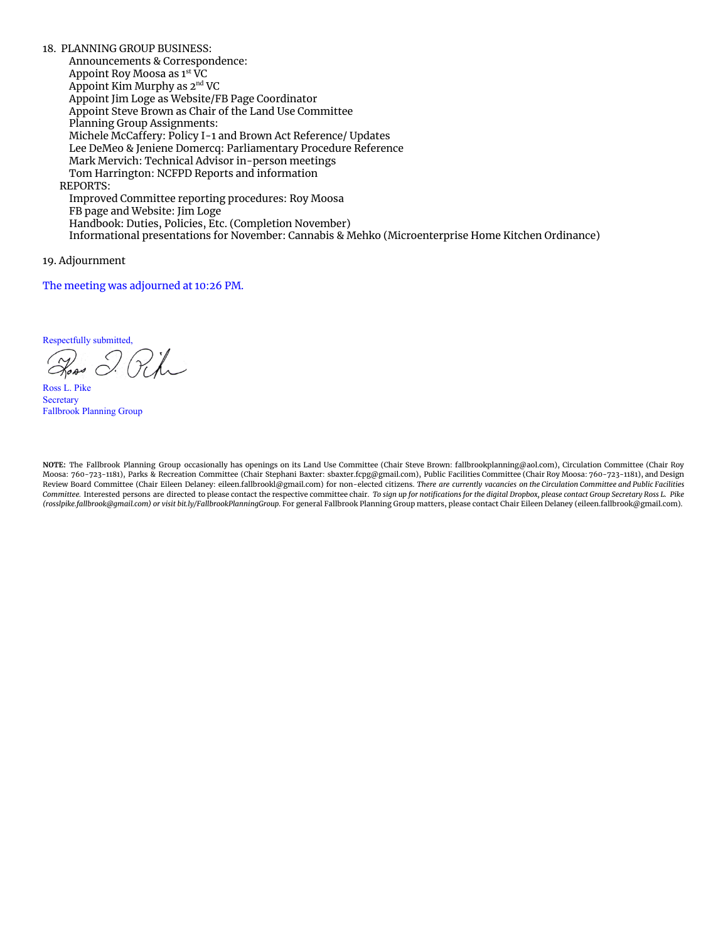18. PLANNING GROUP BUSINESS: Announcements & Correspondence: Appoint Roy Moosa as 1 st VC Appoint Kim Murphy as 2<sup>nd</sup> VC Appoint Jim Loge as Website/FB Page Coordinator Appoint Steve Brown as Chair of the Land Use Committee Planning Group Assignments: Michele McCaffery: Policy I-1 and Brown Act Reference/ Updates Lee DeMeo & Jeniene Domercq: Parliamentary Procedure Reference Mark Mervich: Technical Advisor in-person meetings Tom Harrington: NCFPD Reports and information REPORTS: Improved Committee reporting procedures: Roy Moosa FB page and Website: Jim Loge Handbook: Duties, Policies, Etc. (Completion November) Informational presentations for November: Cannabis & Mehko (Microenterprise Home Kitchen Ordinance)

19. Adjournment

The meeting was adjourned at 10:26 PM.

Respectfully submitted,

Road I. Pike

Ross L. Pike **Secretary** Fallbrook Planning Group

**NOTE:** The Fallbrook Planning Group occasionally has openings on its Land Use Committee (Chair Steve Brown: fallbrookplanning@aol.com), Circulation Committee (Chair Roy Moosa: 760-723-1181), Parks & Recreation Committee (Chair Stephani Baxter: sbaxter.fcpg@gmail.com), Public Facilities Committee (Chair Roy Moosa: 760-723-1181), and Design Review Board Committee (Chair Eileen Delaney: eileen.fallbrookl@gmail.com) for non-elected citizens. There are currently vacancies on the Circulation Committee and Public Facilities Committee. Interested persons are directed to please contact the respective committee chair. To sign up for notifications for the digital Dropbox, please contact Group Secretary Ross L. Pike *([rosslpike.fallbrook@gmail.com\)](mailto:rosslpike.fallbrook@gmail.com) or visit bit.ly/FallbrookPlanningGroup.* For general Fallbrook Planning Group matters, please contact Chair Eileen Delaney (eileen.fallbrook@gmail.com).